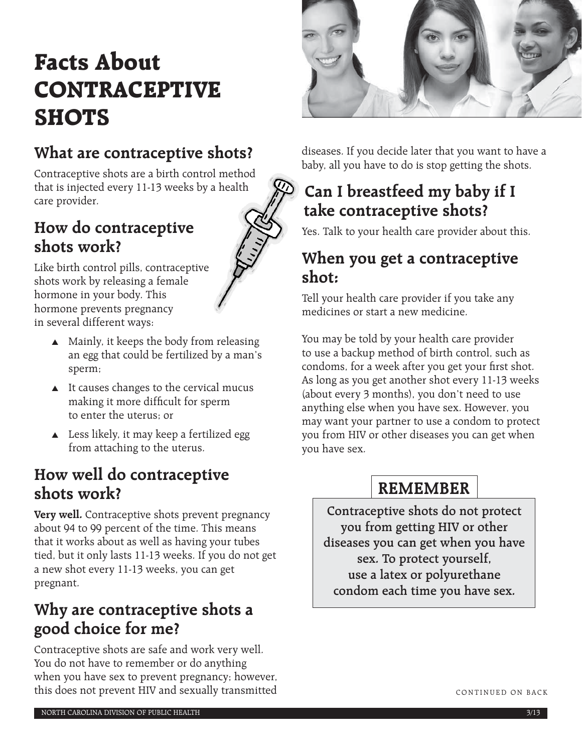# **Facts About CONTRACEPTIVE SHOTS**

# **What are contraceptive shots?**

Contraceptive shots are a birth control method that is injected every 11-13 weeks by a health care provider.

### **How do contraceptive shots work?**



Like birth control pills, contraceptive shots work by releasing a female hormone in your body. This hormone prevents pregnancy in several different ways:

- ▲ Mainly, it keeps the body from releasing an egg that could be fertilized by a man's sperm;
- ▲ It causes changes to the cervical mucus making it more difficult for sperm to enter the uterus; or
- ▲ Less likely, it may keep a fertilized egg from attaching to the uterus.

### **How well do contraceptive shots work?**

**Very well.** Contraceptive shots prevent pregnancy about 94 to 99 percent of the time. This means that it works about as well as having your tubes tied, but it only lasts 11-13 weeks. If you do not get a new shot every 11-13 weeks, you can get pregnant.

# **Why are contraceptive shots a good choice for me?**

Contraceptive shots are safe and work very well. You do not have to remember or do anything when you have sex to prevent pregnancy; however, this does not prevent HIV and sexually transmitted



diseases. If you decide later that you want to have a baby, all you have to do is stop getting the shots.

# **Can I breastfeed my baby if I take contraceptive shots?**

Yes. Talk to your health care provider about this.

### **When you get a contraceptive shot:**

Tell your health care provider if you take any medicines or start a new medicine.

You may be told by your health care provider to use a backup method of birth control, such as condoms, for a week after you get your first shot. As long as you get another shot every 11-13 weeks (about every 3 months), you don't need to use anything else when you have sex. However, you may want your partner to use a condom to protect you from HIV or other diseases you can get when you have sex.

# **REMEMBER**

**Contraceptive shots do not protect you from getting HIV or other diseases you can get when you have sex. To protect yourself, use a latex or polyurethane condom each time you have sex.**